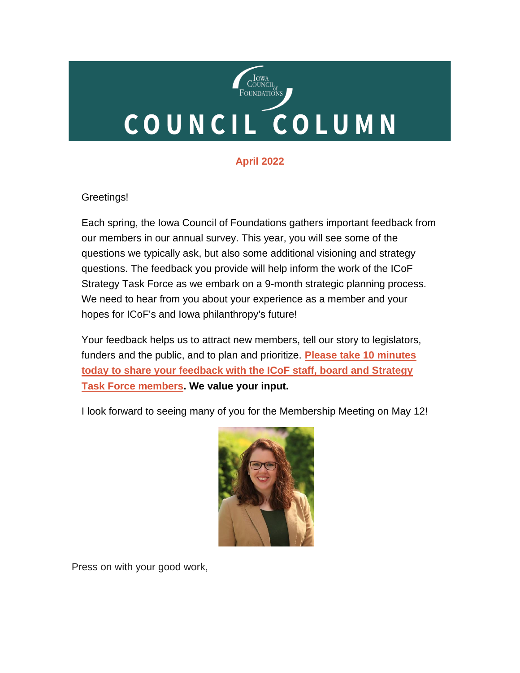# COUNCIL<br>OUNDATIONS COUNCIL COLUMN

### **April 2022**

#### Greetings!

Each spring, the Iowa Council of Foundations gathers important feedback from our members in our annual survey. This year, you will see some of the questions we typically ask, but also some additional visioning and strategy questions. The feedback you provide will help inform the work of the ICoF Strategy Task Force as we embark on a 9-month strategic planning process. We need to hear from you about your experience as a member and your hopes for ICoF's and Iowa philanthropy's future!

Your feedback helps us to attract new members, tell our story to legislators, funders and the public, and to plan and prioritize. **[Please take 10 minutes](https://forms.office.com/r/eSg1ssVGqi)  [today to share your feedback with the ICoF staff, board and Strategy](https://forms.office.com/r/eSg1ssVGqi)  [Task Force members.](https://forms.office.com/r/eSg1ssVGqi) We value your input.**

I look forward to seeing many of you for the Membership Meeting on May 12!



Press on with your good work,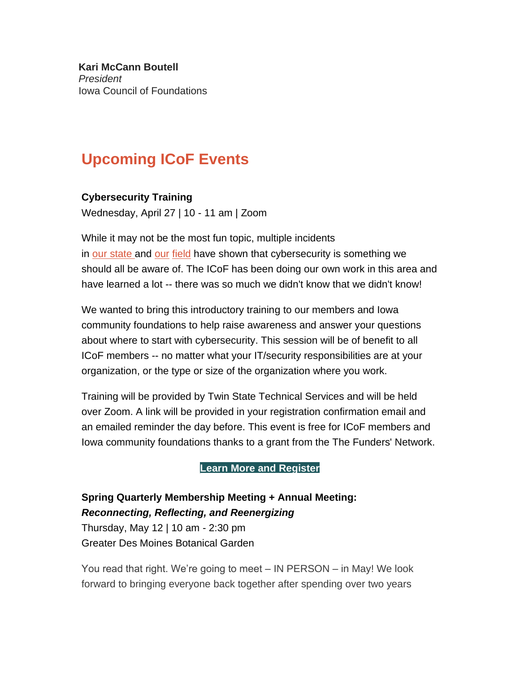**Kari McCann Boutell** *President* Iowa Council of Foundations

# **Upcoming ICoF Events**

#### **Cybersecurity Training**

Wednesday, April 27 | 10 - 11 am | Zoom

While it may not be the most fun topic, multiple incidents in [our](https://businessrecord.com/Content/Default/All-Latest-News/Article/Denson-DMACC-ransomware-response-like-hand-to-hand-combat-/-3/248/93685) [state](https://www.desmoinesregister.com/story/money/agriculture/2021/09/20/russia-linked-cyberattack-blackmatter-ransomware-iowa-grain-cooperative/5788957001/) and [our](https://philanthropynewsdigest.org/features/techsoup-pnd/nonprofits-beware-you-can-get-hacked-too) [field](https://www.independent.co.uk/news/business/news/george-soros-emails-published-by-russian-hackers-us-security-services-dcleaks-wikileaks-a7192396.html) have shown that cybersecurity is something we should all be aware of. The ICoF has been doing our own work in this area and have learned a lot -- there was so much we didn't know that we didn't know!

We wanted to bring this introductory training to our members and Iowa community foundations to help raise awareness and answer your questions about where to start with cybersecurity. This session will be of benefit to all ICoF members -- no matter what your IT/security responsibilities are at your organization, or the type or size of the organization where you work.

Training will be provided by Twin State Technical Services and will be held over Zoom. A link will be provided in your registration confirmation email and an emailed reminder the day before. This event is free for ICoF members and Iowa community foundations thanks to a grant from the The Funders' Network.

**[Learn More and Register](https://icof.wildapricot.org/event-4720722)**

## **Spring Quarterly Membership Meeting + Annual Meeting:** *Reconnecting, Reflecting, and Reenergizing*

Thursday, May 12 | 10 am - 2:30 pm Greater Des Moines Botanical Garden

You read that right. We're going to meet – IN PERSON – in May! We look forward to bringing everyone back together after spending over two years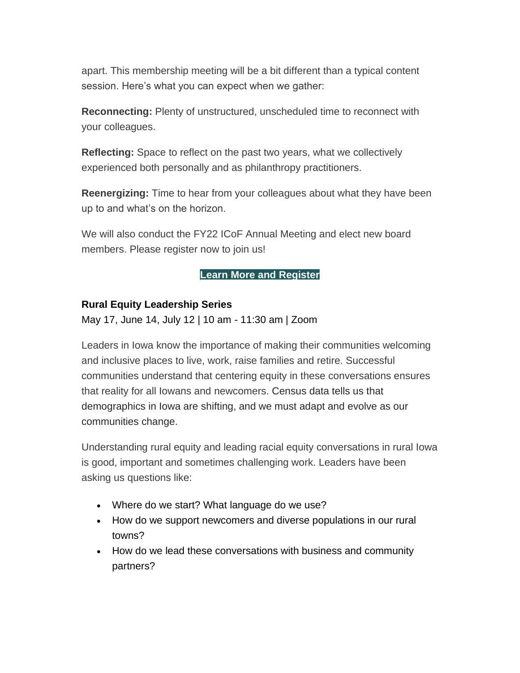apart. This membership meeting will be a bit different than a typical content session. Here's what you can expect when we gather:

**Reconnecting:** Plenty of unstructured, unscheduled time to reconnect with your colleagues.

**Reflecting:** Space to reflect on the past two years, what we collectively experienced both personally and as philanthropy practitioners.

**Reenergizing:** Time to hear from your colleagues about what they have been up to and what's on the horizon.

We will also conduct the FY22 ICoF Annual Meeting and elect new board members. Please register now to join us!

#### **[Learn More and Register](https://icof.wildapricot.org/event-4693038)**

#### **Rural Equity Leadership Series**

May 17, June 14, July 12 | 10 am - 11:30 am | Zoom

Leaders in Iowa know the importance of making their communities welcoming and inclusive places to live, work, raise families and retire. Successful communities understand that centering equity in these conversations ensures that reality for all Iowans and newcomers. Census data tells us that demographics in Iowa are shifting, and we must adapt and evolve as our communities change.

Understanding rural equity and leading racial equity conversations in rural Iowa is good, important and sometimes challenging work. Leaders have been asking us questions like:

- Where do we start? What language do we use?
- How do we support newcomers and diverse populations in our rural towns?
- How do we lead these conversations with business and community partners?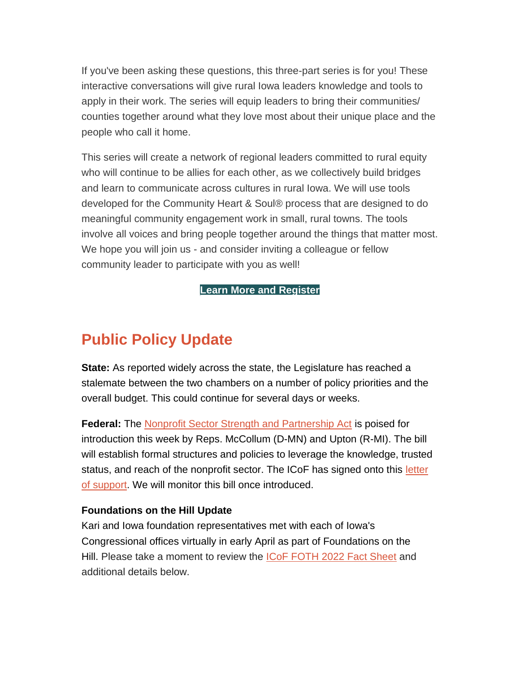If you've been asking these questions, this three-part series is for you! These interactive conversations will give rural Iowa leaders knowledge and tools to apply in their work. The series will equip leaders to bring their communities/ counties together around what they love most about their unique place and the people who call it home.

This series will create a network of regional leaders committed to rural equity who will continue to be allies for each other, as we collectively build bridges and learn to communicate across cultures in rural Iowa. We will use tools developed for the Community Heart & Soul® process that are designed to do meaningful community engagement work in small, rural towns. The tools involve all voices and bring people together around the things that matter most. We hope you will join us - and consider inviting a colleague or fellow community leader to participate with you as well!

**[Learn More and Register](https://icof.wildapricot.org/event-4669692)**

# **Public Policy Update**

**State:** As reported widely across the state, the Legislature has reached a stalemate between the two chambers on a number of policy priorities and the overall budget. This could continue for several days or weeks.

**Federal:** The [Nonprofit Sector Strength and Partnership Act](https://independentsector.org/wp-content/uploads/2022/04/Nonprofit-Sector-Strength-and-Partnership-Act-text-4-19-22.pdf) is poised for introduction this week by Reps. McCollum (D-MN) and Upton (R-MI). The bill will establish formal structures and policies to leverage the knowledge, trusted status, and reach of the nonprofit sector. The ICoF has signed onto this letter [of support.](https://independentsector.quorum.us/campaign/37943/) We will monitor this bill once introduced.

#### **Foundations on the Hill Update**

Kari and Iowa foundation representatives met with each of Iowa's Congressional offices virtually in early April as part of Foundations on the Hill. Please take a moment to review the [ICoF FOTH 2022 Fact Sheet](https://icof.wildapricot.org/resources/FOTH%202022%20Fact%20Sheet.pdf) and additional details below.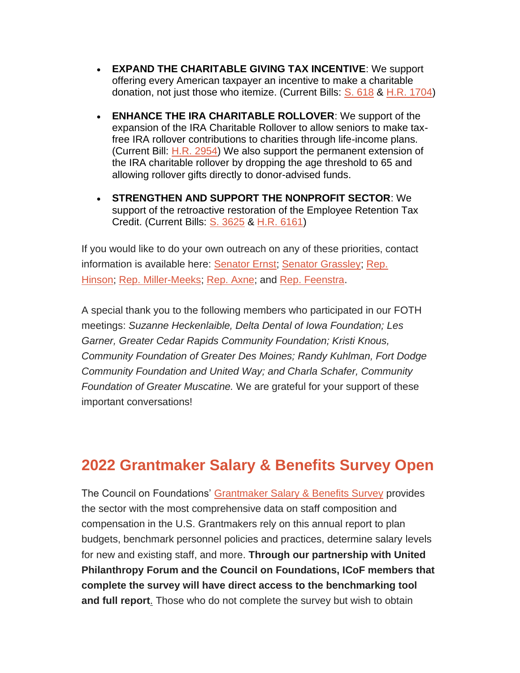- **EXPAND THE CHARITABLE GIVING TAX INCENTIVE**: We support offering every American taxpayer an incentive to make a charitable donation, not just those who itemize. (Current Bills: [S. 618](https://www.congress.gov/bill/117th-congress/senate-bill/618) & [H.R. 1704\)](https://www.congress.gov/bill/117th-congress/house-bill/1704)
- **ENHANCE THE IRA CHARITABLE ROLLOVER**: We support of the expansion of the IRA Charitable Rollover to allow seniors to make taxfree IRA rollover contributions to charities through life-income plans. (Current Bill: [H.R. 2954\)](https://www.congress.gov/bill/117th-congress/house-bill/2954/text) We also support the permanent extension of the IRA charitable rollover by dropping the age threshold to 65 and allowing rollover gifts directly to donor-advised funds.
- **STRENGTHEN AND SUPPORT THE NONPROFIT SECTOR**: We support of the retroactive restoration of the Employee Retention Tax Credit. (Current Bills: [S. 3625](https://www.congress.gov/bill/117th-congress/senate-bill/3625) & [H.R. 6161\)](https://www.congress.gov/bill/117th-congress/house-bill/6161)

If you would like to do your own outreach on any of these priorities, contact information is available here: [Senator Ernst;](https://www.ernst.senate.gov/public/index.cfm/office-locations) [Senator Grassley;](https://www.grassley.senate.gov/contact) [Rep.](https://hinson.house.gov/contact)  [Hinson;](https://hinson.house.gov/contact) [Rep. Miller-Meeks;](https://millermeeks.house.gov/contact) [Rep. Axne;](https://axne.house.gov/contact) and [Rep. Feenstra.](https://feenstra.house.gov/contact)

A special thank you to the following members who participated in our FOTH meetings: *Suzanne Heckenlaible, Delta Dental of Iowa Foundation; Les Garner, Greater Cedar Rapids Community Foundation; Kristi Knous, Community Foundation of Greater Des Moines; Randy Kuhlman, Fort Dodge Community Foundation and United Way; and Charla Schafer, Community Foundation of Greater Muscatine.* We are grateful for your support of these important conversations!

## **2022 Grantmaker Salary & Benefits Survey Open**

The Council on Foundations' [Grantmaker Salary & Benefits Survey](https://www.cof.org/content/2022-grantmaker-salary-and-benefits-survey-gsb) provides the sector with the most comprehensive data on staff composition and compensation in the U.S. Grantmakers rely on this annual report to plan budgets, benchmark personnel policies and practices, determine salary levels for new and existing staff, and more. **Through our partnership with United Philanthropy Forum and the Council on Foundations, ICoF members that complete the survey will have direct access to the benchmarking tool and full report**. Those who do not complete the survey but wish to obtain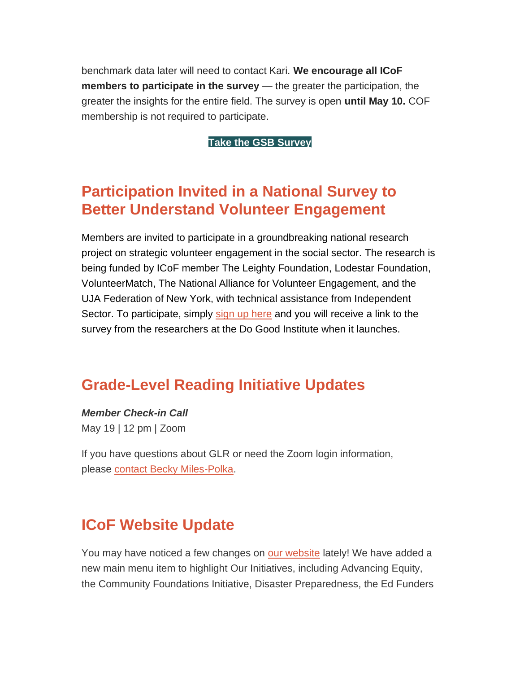benchmark data later will need to contact Kari. **We encourage all ICoF members to participate in the survey** — the greater the participation, the greater the insights for the entire field. The survey is open **until May 10.** COF membership is not required to participate.

**[Take the GSB Survey](https://www.cof.org/content/2022-grantmaker-salary-and-benefits-survey-gsb)**

## **Participation Invited in a National Survey to Better Understand Volunteer Engagement**

Members are invited to participate in a groundbreaking national research project on strategic volunteer engagement in the social sector. The research is being funded by ICoF member The Leighty Foundation, Lodestar Foundation, VolunteerMatch, The National Alliance for Volunteer Engagement, and the UJA Federation of New York, with technical assistance from Independent Sector. To participate, simply [sign up here](https://www.surveymonkey.com/r/B9CZGCN) and you will receive a link to the survey from the researchers at the Do Good Institute when it launches.

## **Grade-Level Reading Initiative Updates**

*Member Check-in Call*

May 19 | 12 pm | Zoom

If you have questions about GLR or need the Zoom login information, please [contact Becky Miles-Polka.](mailto:bmilespolka@gradelevelreading.net)

## **ICoF Website Update**

You may have noticed a few changes on [our website](https://iowacounciloffoundations.org/our-initiatives/) lately! We have added a new main menu item to highlight Our Initiatives, including Advancing Equity, the Community Foundations Initiative, Disaster Preparedness, the Ed Funders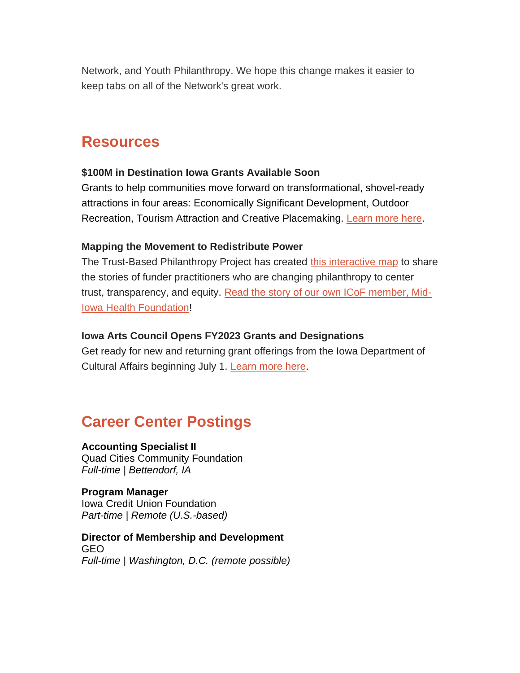Network, and Youth Philanthropy. We hope this change makes it easier to keep tabs on all of the Network's great work.

## **Resources**

#### **\$100M in Destination Iowa Grants Available Soon**

Grants to help communities move forward on transformational, shovel-ready attractions in four areas: Economically Significant Development, Outdoor Recreation, Tourism Attraction and Creative Placemaking. [Learn more here.](https://www.iowaeda.com/destination-iowa/)

#### **Mapping the Movement to Redistribute Power**

The Trust-Based Philanthropy Project has created [this interactive map](https://www.trustbasedphilanthropy.org/map) to share the stories of funder practitioners who are changing philanthropy to center trust, transparency, and equity. [Read the story of our own ICoF member, Mid-](https://www.trustbasedphilanthropy.org/stories/denise-swartz)[Iowa Health Foundation!](https://www.trustbasedphilanthropy.org/stories/denise-swartz)

#### **Iowa Arts Council Opens FY2023 Grants and Designations**

Get ready for new and returning grant offerings from the Iowa Department of Cultural Affairs beginning July 1. [Learn more here](https://www.iowaculture.gov/about-us/about/grants).

## **Career Center Postings**

#### **Accounting Specialist II**

Quad Cities Community Foundation *Full-time | Bettendorf, IA*

**Program Manager** Iowa Credit Union Foundation *Part-time | Remote (U.S.-based)*

#### **Director of Membership and Development** GEO *Full-time | Washington, D.C. (remote possible)*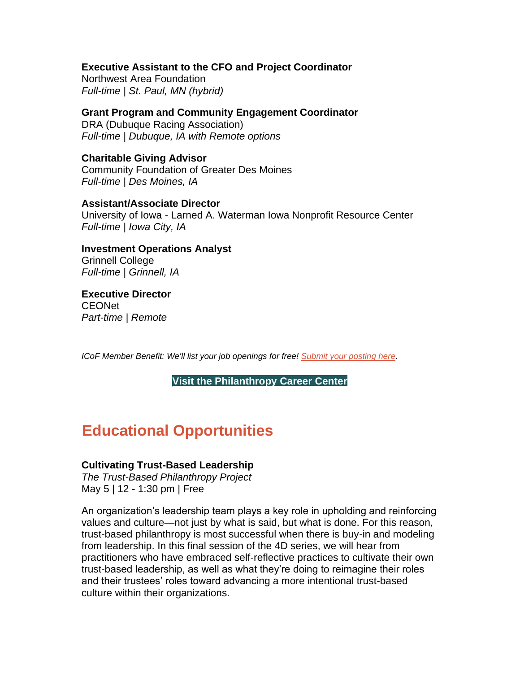#### **Executive Assistant to the CFO and Project Coordinator**

Northwest Area Foundation *Full-time | St. Paul, MN (hybrid)*

**Grant Program and Community Engagement Coordinator** DRA (Dubuque Racing Association) *Full-time | Dubuque, IA with Remote options*

**Charitable Giving Advisor** Community Foundation of Greater Des Moines *Full-time | Des Moines, IA*

#### **Assistant/Associate Director**

University of Iowa - Larned A. Waterman Iowa Nonprofit Resource Center *Full-time | Iowa City, IA*

**Investment Operations Analyst** Grinnell College *Full-time | Grinnell, IA*

**Executive Director** CEONet *Part-time | Remote*

*ICoF Member Benefit: We'll list your job openings for free! [Submit your posting here.](https://iowacounciloffoundations.org/submit-job/)*

**[Visit the Philanthropy Career Center](http://iowacounciloffoundations.org/career-center/)**

## **Educational Opportunities**

#### **Cultivating Trust-Based Leadership**

*The Trust-Based Philanthropy Project* May 5 | 12 - 1:30 pm | Free

An organization's leadership team plays a key role in upholding and reinforcing values and culture—not just by what is said, but what is done. For this reason, trust-based philanthropy is most successful when there is buy-in and modeling from leadership. In this final session of the 4D series, we will hear from practitioners who have embraced self-reflective practices to cultivate their own trust-based leadership, as well as what they're doing to reimagine their roles and their trustees' roles toward advancing a more intentional trust-based culture within their organizations.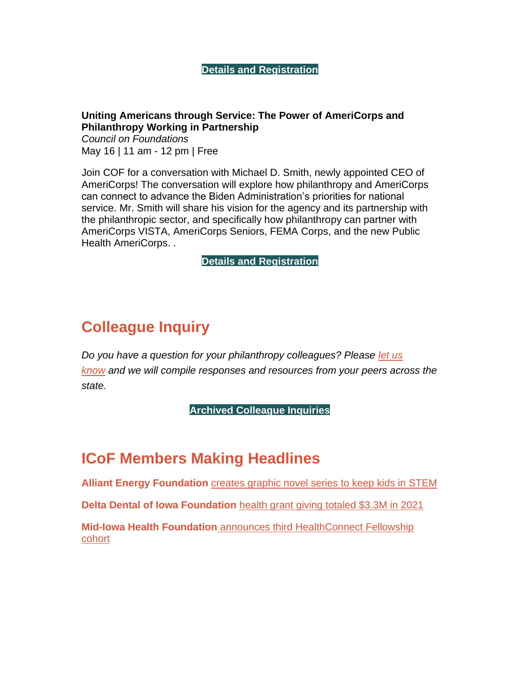#### **[Details and Registration](https://www.trustbasedphilanthropy.org/events/2022/5-5/tbp-in-4d-webinar-series-leadership)**

#### **Uniting Americans through Service: The Power of AmeriCorps and Philanthropy Working in Partnership**

*Council on Foundations* May 16 | 11 am - 12 pm | Free

Join COF for a conversation with Michael D. Smith, newly appointed CEO of AmeriCorps! The conversation will explore how philanthropy and AmeriCorps can connect to advance the Biden Administration's priorities for national service. Mr. Smith will share his vision for the agency and its partnership with the philanthropic sector, and specifically how philanthropy can partner with AmeriCorps VISTA, AmeriCorps Seniors, FEMA Corps, and the new Public Health AmeriCorps. .

#### **[Details and Registration](https://www.cof.org/event/uniting-americans-through-service-power-americorps-and-philanthropy-working-partnership)**

## **Colleague Inquiry**

*Do you have a question for your philanthropy colleagues? Please [let us](mailto:info@iowacounciloffoundations.org?subject=Colleague%20Inquiry%20Request)  [know](mailto:info@iowacounciloffoundations.org?subject=Colleague%20Inquiry%20Request) and we will compile responses and resources from your peers across the state.*

**[Archived Colleague Inquiries](http://iowacounciloffoundations.org/administration/)**

## **ICoF Members Making Headlines**

**Alliant Energy Foundation** [creates graphic novel series to keep kids in STEM](https://corridorbusiness.com/alliant-energy-launches-the-power-chronicles-to-inspire-stem-careers/)

**Delta Dental of Iowa Foundation** [health grant giving totaled \\$3.3M in 2021](https://businessrecord.com/Content/Default/All-Latest-News/Article/Delta-Dental-of-Iowa-health-grant-giving-totaled-3-3M-in-2021/-3/248/97382)

**Mid-Iowa Health Foundation** [announces third HealthConnect Fellowship](https://www.midiowahealth.org/news/eight-fellows-join-mid-iowa-health-foundations-healthconnect-fellowship)  [cohort](https://www.midiowahealth.org/news/eight-fellows-join-mid-iowa-health-foundations-healthconnect-fellowship)